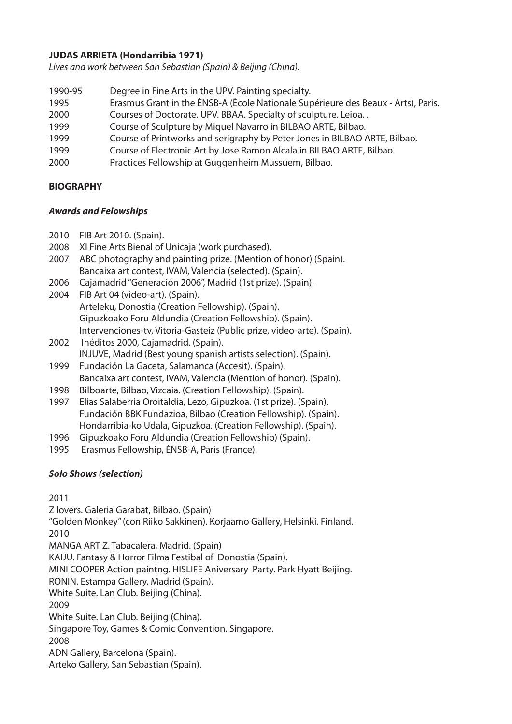# **JUDAS ARRIETA (Hondarribia 1971)**

*Lives and work between San Sebastian (Spain) & Beijing (China).*

1990-95 Degree in Fine Arts in the UPV. Painting specialty. 1995 Erasmus Grant in the ÈNSB-A (Ècole Nationale Supérieure des Beaux - Arts), Paris. 2000 Courses of Doctorate. UPV. BBAA. Specialty of sculpture. Leioa. . 1999 Course of Sculpture by Miquel Navarro in BILBAO ARTE, Bilbao. 1999 Course of Printworks and serigraphy by Peter Jones in BILBAO ARTE, Bilbao. 1999 Course of Electronic Art by Jose Ramon Alcala in BILBAO ARTE, Bilbao. 2000 Practices Fellowship at Guggenheim Mussuem, Bilbao.

# **BIOGRAPHY**

#### *Awards and Felowships*

- 2010 FIB Art 2010. (Spain).
- 2008 XI Fine Arts Bienal of Unicaja (work purchased).
- 2007 ABC photography and painting prize. (Mention of honor) (Spain). Bancaixa art contest, IVAM, Valencia (selected). (Spain).
- 2006 Cajamadrid "Generación 2006", Madrid (1st prize). (Spain).
- 2004 FIB Art 04 (video-art). (Spain). Arteleku, Donostia (Creation Fellowship). (Spain). Gipuzkoako Foru Aldundia (Creation Fellowship). (Spain). Intervenciones-tv, Vitoria-Gasteiz (Public prize, video-arte). (Spain).
- 2002 Inéditos 2000, Cajamadrid. (Spain). INJUVE, Madrid (Best young spanish artists selection). (Spain).
- 1999 Fundación La Gaceta, Salamanca (Accesit). (Spain). Bancaixa art contest, IVAM, Valencia (Mention of honor). (Spain).
- 1998 Bilboarte, Bilbao, Vizcaia. (Creation Fellowship). (Spain).
- 1997 Elias Salaberria Oroitaldia, Lezo, Gipuzkoa. (1st prize). (Spain). Fundación BBK Fundazioa, Bilbao (Creation Fellowship). (Spain). Hondarribia-ko Udala, Gipuzkoa. (Creation Fellowship). (Spain).
- 1996 Gipuzkoako Foru Aldundia (Creation Fellowship) (Spain).
- 1995 Erasmus Fellowship, ÈNSB-A, París (France).

# *Solo Shows (selection)*

2011 Z lovers. Galeria Garabat, Bilbao. (Spain) "Golden Monkey" (con Riiko Sakkinen). Korjaamo Gallery, Helsinki. Finland. 2010 MANGA ART Z. Tabacalera, Madrid. (Spain) KAIJU. Fantasy & Horror Filma Festibal of Donostia (Spain). MINI COOPER Action paintng. HISLIFE Aniversary Party. Park Hyatt Beijing. RONIN. Estampa Gallery, Madrid (Spain). White Suite. Lan Club. Beijing (China). 2009 White Suite. Lan Club. Beijing (China). Singapore Toy, Games & Comic Convention. Singapore. 2008 ADN Gallery, Barcelona (Spain). Arteko Gallery, San Sebastian (Spain).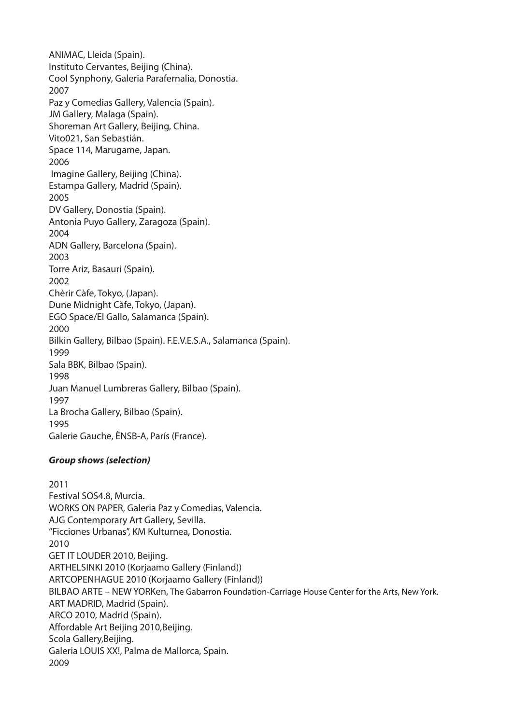ANIMAC, Lleida (Spain). Instituto Cervantes, Beijing (China). Cool Synphony, Galeria Parafernalia, Donostia. 2007 Paz y Comedias Gallery, Valencia (Spain). JM Gallery, Malaga (Spain). Shoreman Art Gallery, Beijing, China. Vito021, San Sebastián. Space 114, Marugame, Japan. 2006 Imagine Gallery, Beijing (China). Estampa Gallery, Madrid (Spain). 2005 DV Gallery, Donostia (Spain). Antonia Puyo Gallery, Zaragoza (Spain). 2004 ADN Gallery, Barcelona (Spain). 2003 Torre Ariz, Basauri (Spain). 2002 Chèrir Càfe, Tokyo, (Japan). Dune Midnight Càfe, Tokyo, (Japan). EGO Space/El Gallo, Salamanca (Spain). 2000 Bilkin Gallery, Bilbao (Spain). F.E.V.E.S.A., Salamanca (Spain). 1999 Sala BBK, Bilbao (Spain). 1998 Juan Manuel Lumbreras Gallery, Bilbao (Spain). 1997 La Brocha Gallery, Bilbao (Spain). 1995 Galerie Gauche, ÈNSB-A, París (France).

# *Group shows (selection)*

2011 Festival SOS4.8, Murcia. WORKS ON PAPER, Galeria Paz y Comedias, Valencia. AJG Contemporary Art Gallery, Sevilla. "Ficciones Urbanas", KM Kulturnea, Donostia. 2010 GET IT LOUDER 2010, Beijing. ARTHELSINKI 2010 (Korjaamo Gallery (Finland)) ARTCOPENHAGUE 2010 (Korjaamo Gallery (Finland)) BILBAO ARTE – NEW YORKen, The Gabarron Foundation-Carriage House Center for the Arts, New York. ART MADRID, Madrid (Spain). ARCO 2010, Madrid (Spain). Affordable Art Beijing 2010,Beijing. Scola Gallery,Beijing. Galeria LOUIS XX!, Palma de Mallorca, Spain. 2009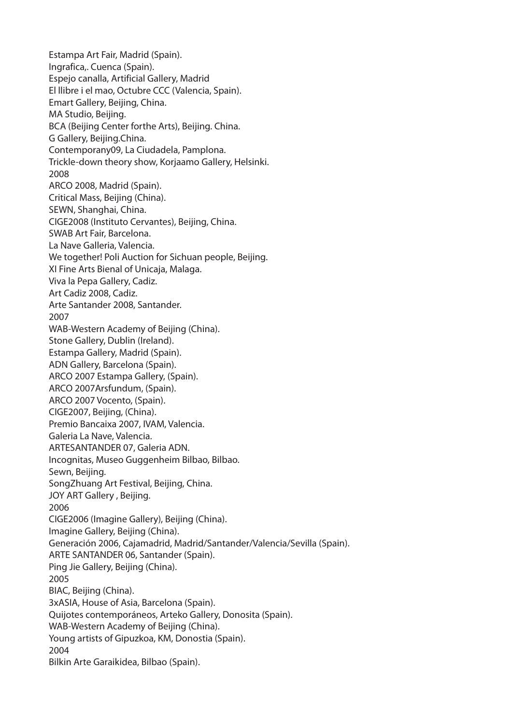Estampa Art Fair, Madrid (Spain). Ingrafica,. Cuenca (Spain). Espejo canalla, Artificial Gallery, Madrid El llibre i el mao, Octubre CCC (Valencia, Spain). Emart Gallery, Beijing, China. MA Studio, Beijing. BCA (Beijing Center forthe Arts), Beijing. China. G Gallery, Beijing.China. Contemporany09, La Ciudadela, Pamplona. Trickle-down theory show, Korjaamo Gallery, Helsinki. 2008 ARCO 2008, Madrid (Spain). Critical Mass, Beijing (China). SEWN, Shanghai, China. CIGE2008 (Instituto Cervantes), Beijing, China. SWAB Art Fair, Barcelona. La Nave Galleria, Valencia. We together! Poli Auction for Sichuan people, Beijing. XI Fine Arts Bienal of Unicaja, Malaga. Viva la Pepa Gallery, Cadiz. Art Cadiz 2008, Cadiz. Arte Santander 2008, Santander. 2007 WAB-Western Academy of Beijing (China). Stone Gallery, Dublin (Ireland). Estampa Gallery, Madrid (Spain). ADN Gallery, Barcelona (Spain). ARCO 2007 Estampa Gallery, (Spain). ARCO 2007Arsfundum, (Spain). ARCO 2007 Vocento, (Spain). CIGE2007, Beijing, (China). Premio Bancaixa 2007, IVAM, Valencia. Galeria La Nave, Valencia. ARTESANTANDER 07, Galeria ADN. Incognitas, Museo Guggenheim Bilbao, Bilbao. Sewn, Beijing. SongZhuang Art Festival, Beijing, China. JOY ART Gallery, Beijing. 2006 CIGE2006 (Imagine Gallery), Beijing (China). Imagine Gallery, Beijing (China). Generación 2006, Cajamadrid, Madrid/Santander/Valencia/Sevilla (Spain). ARTE SANTANDER 06, Santander (Spain). Ping Jie Gallery, Beijing (China). 2005 BIAC, Beijing (China). 3xASIA, House of Asia, Barcelona (Spain). Quijotes contemporáneos, Arteko Gallery, Donosita (Spain). WAB-Western Academy of Beijing (China). Young artists of Gipuzkoa, KM, Donostia (Spain). 2004 Bilkin Arte Garaikidea, Bilbao (Spain).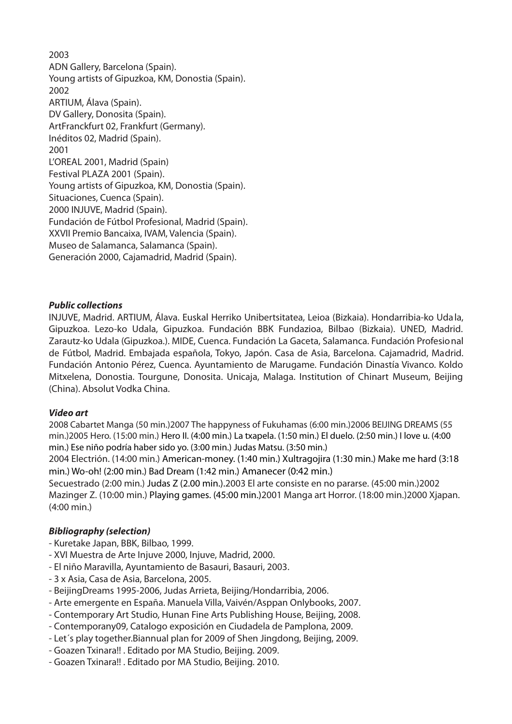2003 ADN Gallery, Barcelona (Spain). Young artists of Gipuzkoa, KM, Donostia (Spain). 2002 ARTIUM, Álava (Spain). DV Gallery, Donosita (Spain). ArtFranckfurt 02, Frankfurt (Germany). Inéditos 02, Madrid (Spain). 2001 L'OREAL 2001, Madrid (Spain) Festival PLAZA 2001 (Spain). Young artists of Gipuzkoa, KM, Donostia (Spain). Situaciones, Cuenca (Spain). 2000 INJUVE, Madrid (Spain). Fundación de Fútbol Profesional, Madrid (Spain). XXVII Premio Bancaixa, IVAM, Valencia (Spain). Museo de Salamanca, Salamanca (Spain). Generación 2000, Cajamadrid, Madrid (Spain).

### *Public collections*

INJUVE, Madrid. ARTIUM, Álava. Euskal Herriko Unibertsitatea, Leioa (Bizkaia). Hondarribia-ko Udala, Gipuzkoa. Lezo-ko Udala, Gipuzkoa. Fundación BBK Fundazioa, Bilbao (Bizkaia). UNED, Madrid. Zarautz-ko Udala (Gipuzkoa.). MIDE, Cuenca. Fundación La Gaceta, Salamanca. Fundación Profesional de Fútbol, Madrid. Embajada española, Tokyo, Japón. Casa de Asia, Barcelona. Cajamadrid, Madrid. Fundación Antonio Pérez, Cuenca. Ayuntamiento de Marugame. Fundación Dinastía Vivanco. Koldo Mitxelena, Donostia. Tourgune, Donosita. Unicaja, Malaga. Institution of Chinart Museum, Beijing (China). Absolut Vodka China.

#### *Video art*

2008 Cabartet Manga (50 min.)2007 The happyness of Fukuhamas (6:00 min.)2006 BEIJING DREAMS (55 min.)2005 Hero. (15:00 min.) Hero II. (4:00 min.) La txapela. (1:50 min.) El duelo. (2:50 min.) I love u. (4:00 min.) Ese niño podría haber sido yo. (3:00 min.) Judas Matsu. (3:50 min.)

2004 Electrión. (14:00 min.) American-money. (1:40 min.) Xultragojira (1:30 min.) Make me hard (3:18 min.) Wo-oh! (2:00 min.) Bad Dream (1:42 min.) Amanecer (0:42 min.)

Secuestrado (2:00 min.) Judas Z (2.00 min.).2003 El arte consiste en no pararse. (45:00 min.)2002 Mazinger Z. (10:00 min.) Playing games. (45:00 min.)2001 Manga art Horror. (18:00 min.)2000 Xjapan. (4:00 min.)

#### *Bibliography (selection)*

- Kuretake Japan, BBK, Bilbao, 1999.
- XVI Muestra de Arte Injuve 2000, Injuve, Madrid, 2000.
- El niño Maravilla, Ayuntamiento de Basauri, Basauri, 2003.
- 3 x Asia, Casa de Asia, Barcelona, 2005.
- BeijingDreams 1995-2006, Judas Arrieta, Beijing/Hondarribia, 2006.
- Arte emergente en España. Manuela Villa, Vaivén/Asppan Onlybooks, 2007.
- Contemporary Art Studio, Hunan Fine Arts Publishing House, Beijing, 2008.
- Contemporany09, Catalogo exposición en Ciudadela de Pamplona, 2009.
- Let´s play together.Biannual plan for 2009 of Shen Jingdong, Beijing, 2009.
- Goazen Txinara!! . Editado por MA Studio, Beijing. 2009.
- Goazen Txinara!! . Editado por MA Studio, Beijing. 2010.